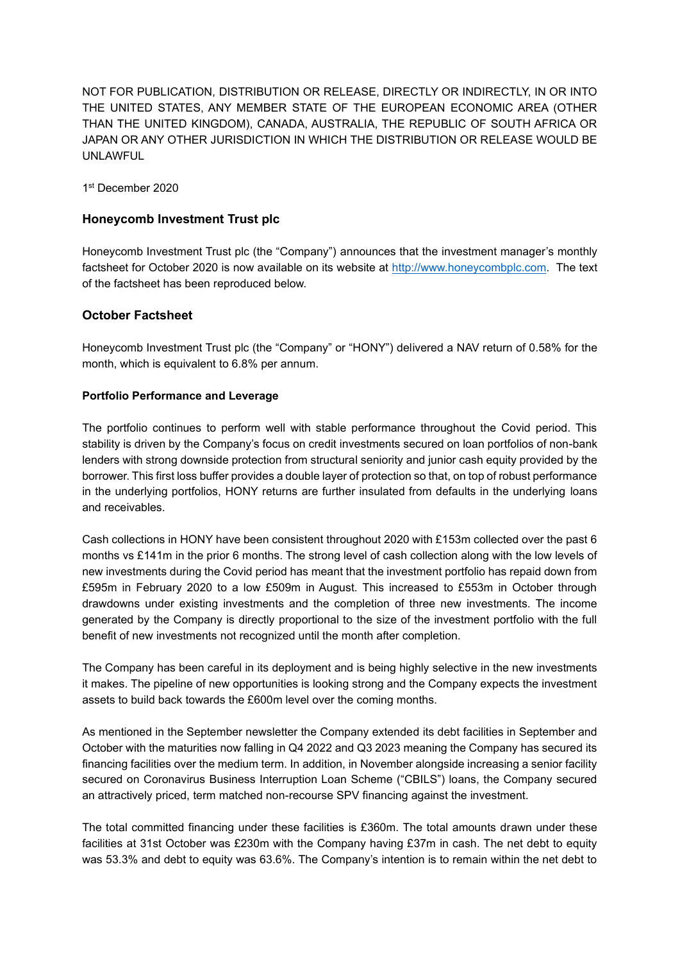NOT FOR PUBLICATION, DISTRIBUTION OR RELEASE, DIRECTLY OR INDIRECTLY, IN OR INTO THE UNITED STATES, ANY MEMBER STATE OF THE EUROPEAN ECONOMIC AREA (OTHER THAN THE UNITED KINGDOM), CANADA, AUSTRALIA, THE REPUBLIC OF SOUTH AFRICA OR JAPAN OR ANY OTHER JURISDICTION IN WHICH THE DISTRIBUTION OR RELEASE WOULD BE UNLAWFUL

1 st December 2020

# **Honeycomb Investment Trust plc**

Honeycomb Investment Trust plc (the "Company") announces that the investment manager's monthly factsheet for October 2020 is now available on its website at [http://www.honeycombplc.com.](http://www.honeycombplc.com/documents/) The text of the factsheet has been reproduced below.

# **October Factsheet**

Honeycomb Investment Trust plc (the "Company" or "HONY") delivered a NAV return of 0.58% for the month, which is equivalent to 6.8% per annum.

### **Portfolio Performance and Leverage**

The portfolio continues to perform well with stable performance throughout the Covid period. This stability is driven by the Company's focus on credit investments secured on loan portfolios of non-bank lenders with strong downside protection from structural seniority and junior cash equity provided by the borrower. This first loss buffer provides a double layer of protection so that, on top of robust performance in the underlying portfolios, HONY returns are further insulated from defaults in the underlying loans and receivables.

Cash collections in HONY have been consistent throughout 2020 with £153m collected over the past 6 months vs £141m in the prior 6 months. The strong level of cash collection along with the low levels of new investments during the Covid period has meant that the investment portfolio has repaid down from £595m in February 2020 to a low £509m in August. This increased to £553m in October through drawdowns under existing investments and the completion of three new investments. The income generated by the Company is directly proportional to the size of the investment portfolio with the full benefit of new investments not recognized until the month after completion.

The Company has been careful in its deployment and is being highly selective in the new investments it makes. The pipeline of new opportunities is looking strong and the Company expects the investment assets to build back towards the £600m level over the coming months.

As mentioned in the September newsletter the Company extended its debt facilities in September and October with the maturities now falling in Q4 2022 and Q3 2023 meaning the Company has secured its financing facilities over the medium term. In addition, in November alongside increasing a senior facility secured on Coronavirus Business Interruption Loan Scheme ("CBILS") loans, the Company secured an attractively priced, term matched non-recourse SPV financing against the investment.

The total committed financing under these facilities is £360m. The total amounts drawn under these facilities at 31st October was £230m with the Company having £37m in cash. The net debt to equity was 53.3% and debt to equity was 63.6%. The Company's intention is to remain within the net debt to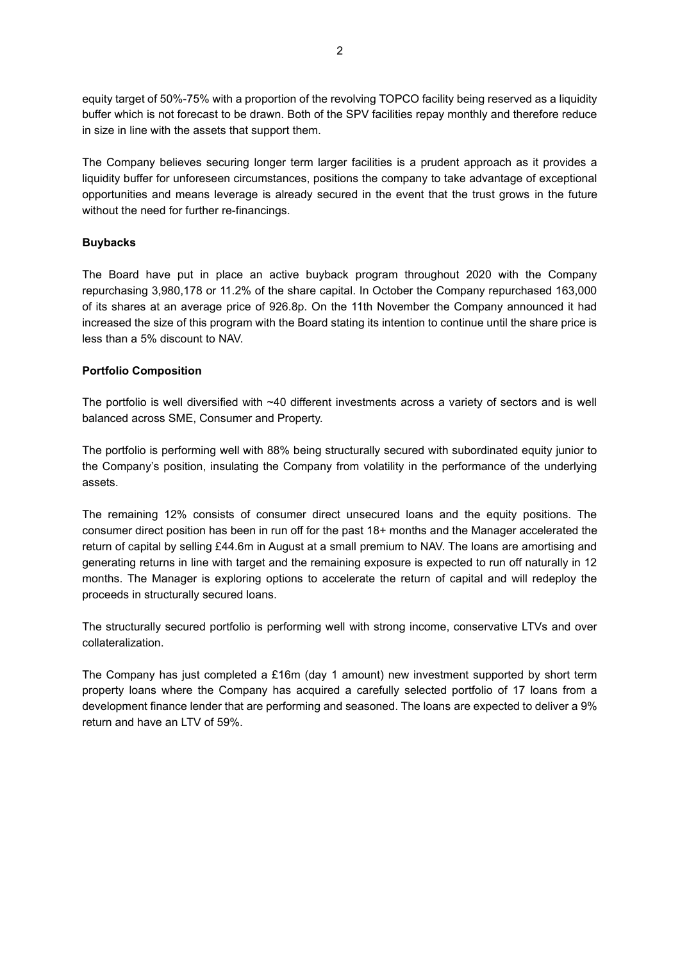equity target of 50%-75% with a proportion of the revolving TOPCO facility being reserved as a liquidity buffer which is not forecast to be drawn. Both of the SPV facilities repay monthly and therefore reduce in size in line with the assets that support them.

The Company believes securing longer term larger facilities is a prudent approach as it provides a liquidity buffer for unforeseen circumstances, positions the company to take advantage of exceptional opportunities and means leverage is already secured in the event that the trust grows in the future without the need for further re-financings.

### **Buybacks**

The Board have put in place an active buyback program throughout 2020 with the Company repurchasing 3,980,178 or 11.2% of the share capital. In October the Company repurchased 163,000 of its shares at an average price of 926.8p. On the 11th November the Company announced it had increased the size of this program with the Board stating its intention to continue until the share price is less than a 5% discount to NAV.

### **Portfolio Composition**

The portfolio is well diversified with ~40 different investments across a variety of sectors and is well balanced across SME, Consumer and Property.

The portfolio is performing well with 88% being structurally secured with subordinated equity junior to the Company's position, insulating the Company from volatility in the performance of the underlying assets.

The remaining 12% consists of consumer direct unsecured loans and the equity positions. The consumer direct position has been in run off for the past 18+ months and the Manager accelerated the return of capital by selling £44.6m in August at a small premium to NAV. The loans are amortising and generating returns in line with target and the remaining exposure is expected to run off naturally in 12 months. The Manager is exploring options to accelerate the return of capital and will redeploy the proceeds in structurally secured loans.

The structurally secured portfolio is performing well with strong income, conservative LTVs and over collateralization.

The Company has just completed a £16m (day 1 amount) new investment supported by short term property loans where the Company has acquired a carefully selected portfolio of 17 loans from a development finance lender that are performing and seasoned. The loans are expected to deliver a 9% return and have an LTV of 59%.